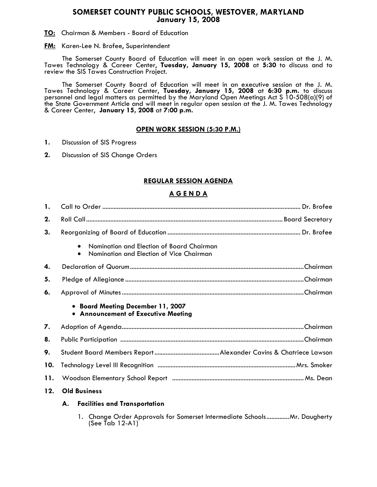### **SOMERSET COUNTY PUBLIC SCHOOLS, WESTOVER, MARYLAND January 15, 2008**

**TO:** Chairman & Members - Board of Education

#### **FM:** Karen-Lee N. Brofee, Superintendent

 The Somerset County Board of Education will meet in an open work session at the J. M. Tawes Technology & Career Center, **Tuesday, January 15, 2008** at **5:30** to discuss and to review the SIS Tawes Construction Project.

The Somerset County Board of Education will meet in an executive session at the J. M. Tawes Technology & Career Center, **Tuesday, January 15, 2008** at **6:30 p.m.** to discuss personnel and legal matters as permitted by the Maryland Open Meetings Act S 10-508(a)(9) of the State Government Article and will meet in regular open session at the J. M. Tawes Technology & Career Center, **January 15, 2008** at **7:00 p.m.** 

### **OPEN WORK SESSION (5:30 P.M.)**

- **1.** Discussion of SIS Progress
- **2.** Discussion of SIS Change Orders

## **REGULAR SESSION AGENDA**

### **A G E N D A**

| 1.  |                                                                                                    |  |  |
|-----|----------------------------------------------------------------------------------------------------|--|--|
| 2.  |                                                                                                    |  |  |
| 3.  |                                                                                                    |  |  |
|     | Nomination and Election of Board Chairman<br>$\bullet$<br>Nomination and Election of Vice Chairman |  |  |
| 4.  |                                                                                                    |  |  |
| 5.  |                                                                                                    |  |  |
| 6.  |                                                                                                    |  |  |
|     | • Board Meeting December 11, 2007<br>• Announcement of Executive Meeting                           |  |  |
| 7.  |                                                                                                    |  |  |
| 8.  |                                                                                                    |  |  |
| 9.  |                                                                                                    |  |  |
| 10. |                                                                                                    |  |  |
| 11. |                                                                                                    |  |  |
| 12. | <b>Old Business</b>                                                                                |  |  |
|     | A. Facilities and Transportation                                                                   |  |  |

 1. Change Order Approvals for Somerset Intermediate Schools..............Mr. Daugherty  $(See$  Tab  $12-A1)'$